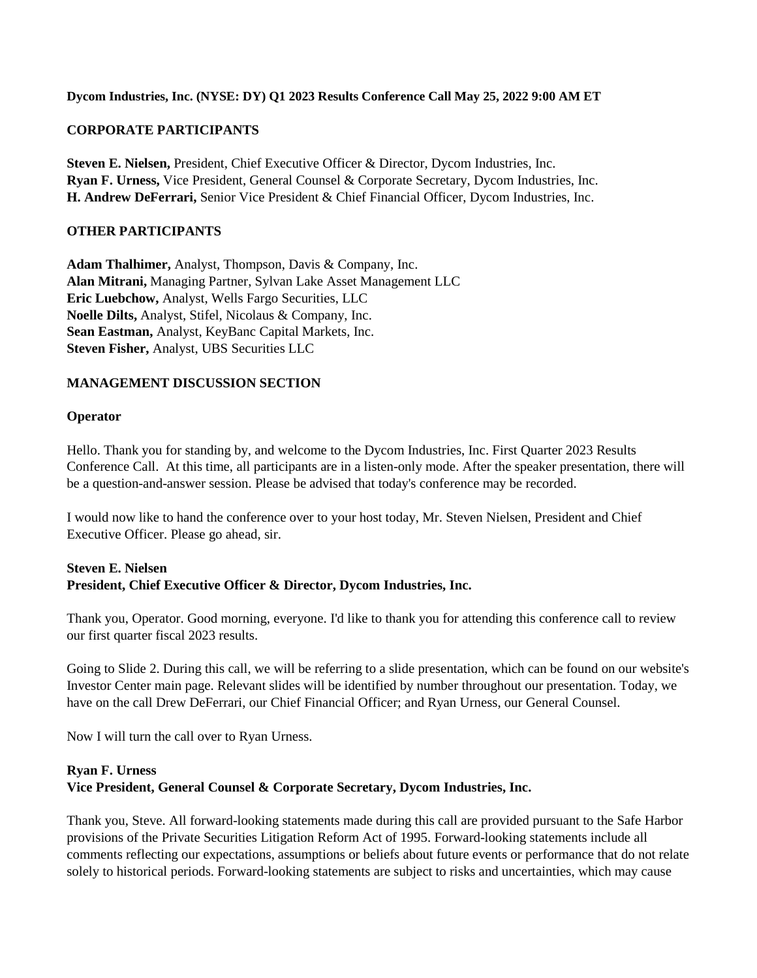#### **Dycom Industries, Inc. (NYSE: DY) Q1 2023 Results Conference Call May 25, 2022 9:00 AM ET**

## **CORPORATE PARTICIPANTS**

**Steven E. Nielsen,** President, Chief Executive Officer & Director, Dycom Industries, Inc. **Ryan F. Urness,** Vice President, General Counsel & Corporate Secretary, Dycom Industries, Inc. **H. Andrew DeFerrari,** Senior Vice President & Chief Financial Officer, Dycom Industries, Inc.

#### **OTHER PARTICIPANTS**

**Adam Thalhimer,** Analyst, Thompson, Davis & Company, Inc. **Alan Mitrani,** Managing Partner, Sylvan Lake Asset Management LLC **Eric Luebchow,** Analyst, Wells Fargo Securities, LLC **Noelle Dilts,** Analyst, Stifel, Nicolaus & Company, Inc. **Sean Eastman,** Analyst, KeyBanc Capital Markets, Inc. **Steven Fisher,** Analyst, UBS Securities LLC

## **MANAGEMENT DISCUSSION SECTION**

#### **Operator**

Hello. Thank you for standing by, and welcome to the Dycom Industries, Inc. First Quarter 2023 Results Conference Call. At this time, all participants are in a listen-only mode. After the speaker presentation, there will be a question-and-answer session. Please be advised that today's conference may be recorded.

I would now like to hand the conference over to your host today, Mr. Steven Nielsen, President and Chief Executive Officer. Please go ahead, sir.

## **Steven E. Nielsen President, Chief Executive Officer & Director, Dycom Industries, Inc.**

Thank you, Operator. Good morning, everyone. I'd like to thank you for attending this conference call to review our first quarter fiscal 2023 results.

Going to Slide 2. During this call, we will be referring to a slide presentation, which can be found on our website's Investor Center main page. Relevant slides will be identified by number throughout our presentation. Today, we have on the call Drew DeFerrari, our Chief Financial Officer; and Ryan Urness, our General Counsel.

Now I will turn the call over to Ryan Urness.

# **Ryan F. Urness Vice President, General Counsel & Corporate Secretary, Dycom Industries, Inc.**

Thank you, Steve. All forward-looking statements made during this call are provided pursuant to the Safe Harbor provisions of the Private Securities Litigation Reform Act of 1995. Forward-looking statements include all comments reflecting our expectations, assumptions or beliefs about future events or performance that do not relate solely to historical periods. Forward-looking statements are subject to risks and uncertainties, which may cause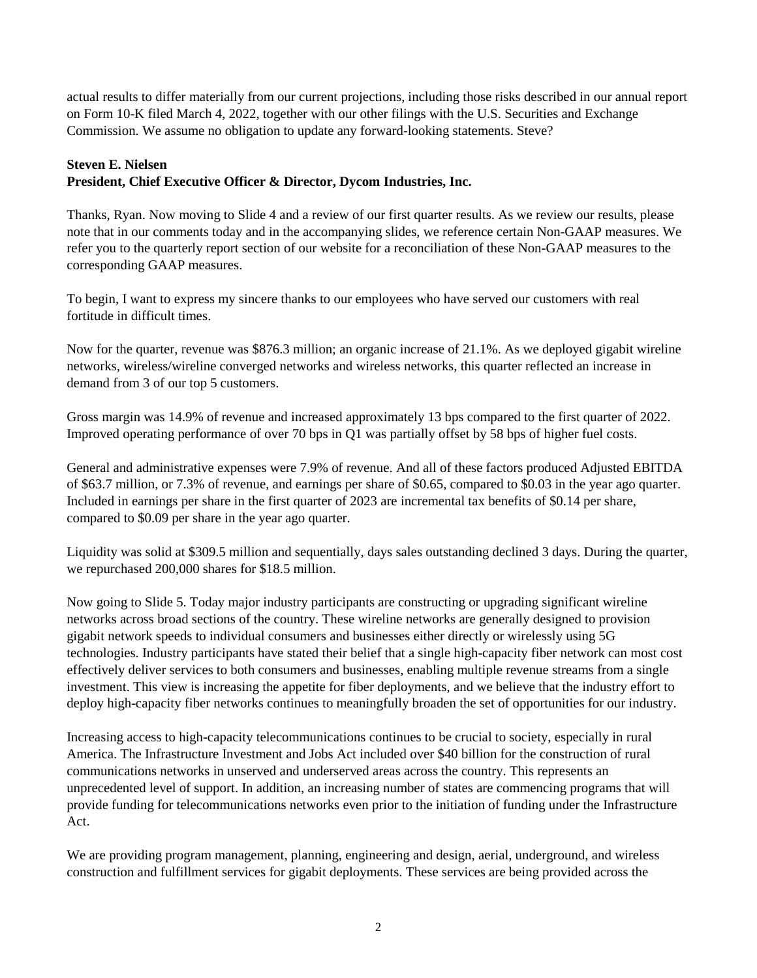actual results to differ materially from our current projections, including those risks described in our annual report on Form 10-K filed March 4, 2022, together with our other filings with the U.S. Securities and Exchange Commission. We assume no obligation to update any forward-looking statements. Steve?

# **Steven E. Nielsen**

# **President, Chief Executive Officer & Director, Dycom Industries, Inc.**

Thanks, Ryan. Now moving to Slide 4 and a review of our first quarter results. As we review our results, please note that in our comments today and in the accompanying slides, we reference certain Non-GAAP measures. We refer you to the quarterly report section of our website for a reconciliation of these Non-GAAP measures to the corresponding GAAP measures.

To begin, I want to express my sincere thanks to our employees who have served our customers with real fortitude in difficult times.

Now for the quarter, revenue was \$876.3 million; an organic increase of 21.1%. As we deployed gigabit wireline networks, wireless/wireline converged networks and wireless networks, this quarter reflected an increase in demand from 3 of our top 5 customers.

Gross margin was 14.9% of revenue and increased approximately 13 bps compared to the first quarter of 2022. Improved operating performance of over 70 bps in Q1 was partially offset by 58 bps of higher fuel costs.

General and administrative expenses were 7.9% of revenue. And all of these factors produced Adjusted EBITDA of \$63.7 million, or 7.3% of revenue, and earnings per share of \$0.65, compared to \$0.03 in the year ago quarter. Included in earnings per share in the first quarter of 2023 are incremental tax benefits of \$0.14 per share, compared to \$0.09 per share in the year ago quarter.

Liquidity was solid at \$309.5 million and sequentially, days sales outstanding declined 3 days. During the quarter, we repurchased 200,000 shares for \$18.5 million.

Now going to Slide 5. Today major industry participants are constructing or upgrading significant wireline networks across broad sections of the country. These wireline networks are generally designed to provision gigabit network speeds to individual consumers and businesses either directly or wirelessly using 5G technologies. Industry participants have stated their belief that a single high-capacity fiber network can most cost effectively deliver services to both consumers and businesses, enabling multiple revenue streams from a single investment. This view is increasing the appetite for fiber deployments, and we believe that the industry effort to deploy high-capacity fiber networks continues to meaningfully broaden the set of opportunities for our industry.

Increasing access to high-capacity telecommunications continues to be crucial to society, especially in rural America. The Infrastructure Investment and Jobs Act included over \$40 billion for the construction of rural communications networks in unserved and underserved areas across the country. This represents an unprecedented level of support. In addition, an increasing number of states are commencing programs that will provide funding for telecommunications networks even prior to the initiation of funding under the Infrastructure Act.

We are providing program management, planning, engineering and design, aerial, underground, and wireless construction and fulfillment services for gigabit deployments. These services are being provided across the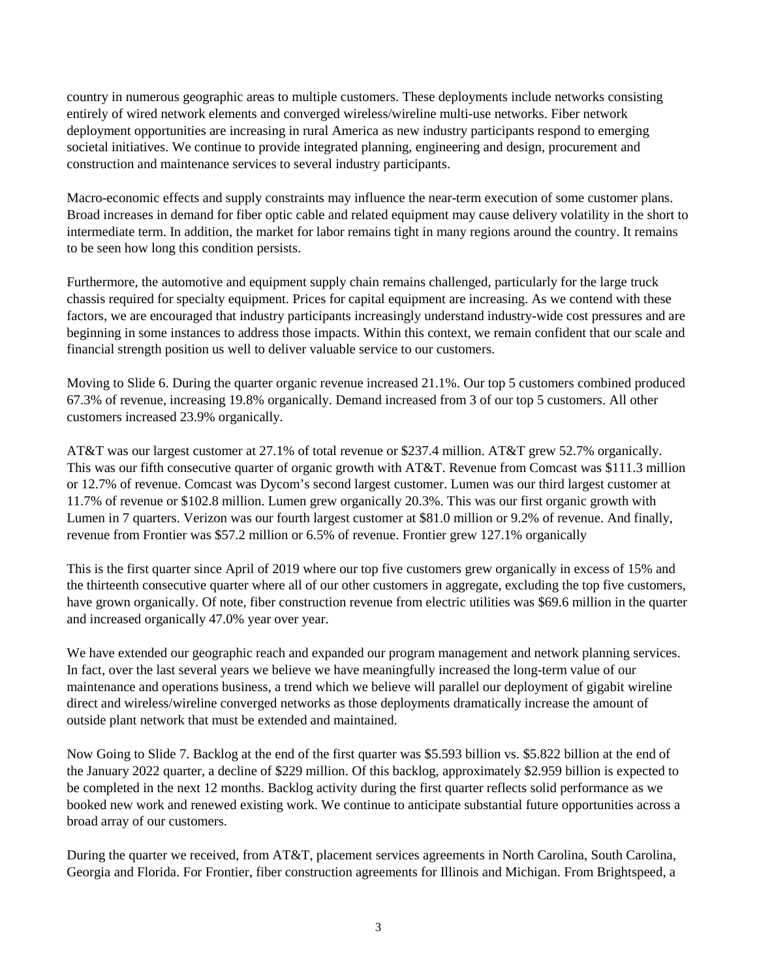country in numerous geographic areas to multiple customers. These deployments include networks consisting entirely of wired network elements and converged wireless/wireline multi-use networks. Fiber network deployment opportunities are increasing in rural America as new industry participants respond to emerging societal initiatives. We continue to provide integrated planning, engineering and design, procurement and construction and maintenance services to several industry participants.

Macro-economic effects and supply constraints may influence the near-term execution of some customer plans. Broad increases in demand for fiber optic cable and related equipment may cause delivery volatility in the short to intermediate term. In addition, the market for labor remains tight in many regions around the country. It remains to be seen how long this condition persists.

Furthermore, the automotive and equipment supply chain remains challenged, particularly for the large truck chassis required for specialty equipment. Prices for capital equipment are increasing. As we contend with these factors, we are encouraged that industry participants increasingly understand industry-wide cost pressures and are beginning in some instances to address those impacts. Within this context, we remain confident that our scale and financial strength position us well to deliver valuable service to our customers.

Moving to Slide 6. During the quarter organic revenue increased 21.1%. Our top 5 customers combined produced 67.3% of revenue, increasing 19.8% organically. Demand increased from 3 of our top 5 customers. All other customers increased 23.9% organically.

AT&T was our largest customer at 27.1% of total revenue or \$237.4 million. AT&T grew 52.7% organically. This was our fifth consecutive quarter of organic growth with AT&T. Revenue from Comcast was \$111.3 million or 12.7% of revenue. Comcast was Dycom's second largest customer. Lumen was our third largest customer at 11.7% of revenue or \$102.8 million. Lumen grew organically 20.3%. This was our first organic growth with Lumen in 7 quarters. Verizon was our fourth largest customer at \$81.0 million or 9.2% of revenue. And finally, revenue from Frontier was \$57.2 million or 6.5% of revenue. Frontier grew 127.1% organically

This is the first quarter since April of 2019 where our top five customers grew organically in excess of 15% and the thirteenth consecutive quarter where all of our other customers in aggregate, excluding the top five customers, have grown organically. Of note, fiber construction revenue from electric utilities was \$69.6 million in the quarter and increased organically 47.0% year over year.

We have extended our geographic reach and expanded our program management and network planning services. In fact, over the last several years we believe we have meaningfully increased the long-term value of our maintenance and operations business, a trend which we believe will parallel our deployment of gigabit wireline direct and wireless/wireline converged networks as those deployments dramatically increase the amount of outside plant network that must be extended and maintained.

Now Going to Slide 7. Backlog at the end of the first quarter was \$5.593 billion vs. \$5.822 billion at the end of the January 2022 quarter, a decline of \$229 million. Of this backlog, approximately \$2.959 billion is expected to be completed in the next 12 months. Backlog activity during the first quarter reflects solid performance as we booked new work and renewed existing work. We continue to anticipate substantial future opportunities across a broad array of our customers.

During the quarter we received, from AT&T, placement services agreements in North Carolina, South Carolina, Georgia and Florida. For Frontier, fiber construction agreements for Illinois and Michigan. From Brightspeed, a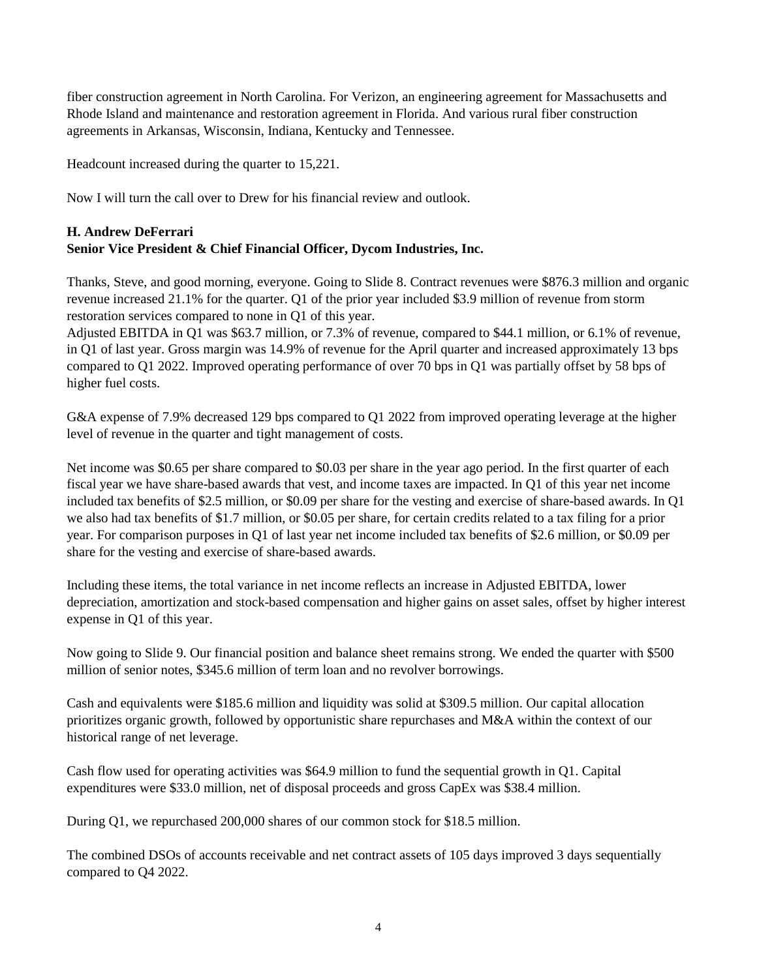fiber construction agreement in North Carolina. For Verizon, an engineering agreement for Massachusetts and Rhode Island and maintenance and restoration agreement in Florida. And various rural fiber construction agreements in Arkansas, Wisconsin, Indiana, Kentucky and Tennessee.

Headcount increased during the quarter to 15,221.

Now I will turn the call over to Drew for his financial review and outlook.

# **H. Andrew DeFerrari Senior Vice President & Chief Financial Officer, Dycom Industries, Inc.**

Thanks, Steve, and good morning, everyone. Going to Slide 8. Contract revenues were \$876.3 million and organic revenue increased 21.1% for the quarter. Q1 of the prior year included \$3.9 million of revenue from storm restoration services compared to none in Q1 of this year.

Adjusted EBITDA in Q1 was \$63.7 million, or 7.3% of revenue, compared to \$44.1 million, or 6.1% of revenue, in Q1 of last year. Gross margin was 14.9% of revenue for the April quarter and increased approximately 13 bps compared to Q1 2022. Improved operating performance of over 70 bps in Q1 was partially offset by 58 bps of higher fuel costs.

G&A expense of 7.9% decreased 129 bps compared to Q1 2022 from improved operating leverage at the higher level of revenue in the quarter and tight management of costs.

Net income was \$0.65 per share compared to \$0.03 per share in the year ago period. In the first quarter of each fiscal year we have share-based awards that vest, and income taxes are impacted. In Q1 of this year net income included tax benefits of \$2.5 million, or \$0.09 per share for the vesting and exercise of share-based awards. In Q1 we also had tax benefits of \$1.7 million, or \$0.05 per share, for certain credits related to a tax filing for a prior year. For comparison purposes in Q1 of last year net income included tax benefits of \$2.6 million, or \$0.09 per share for the vesting and exercise of share-based awards.

Including these items, the total variance in net income reflects an increase in Adjusted EBITDA, lower depreciation, amortization and stock-based compensation and higher gains on asset sales, offset by higher interest expense in Q1 of this year.

Now going to Slide 9. Our financial position and balance sheet remains strong. We ended the quarter with \$500 million of senior notes, \$345.6 million of term loan and no revolver borrowings.

Cash and equivalents were \$185.6 million and liquidity was solid at \$309.5 million. Our capital allocation prioritizes organic growth, followed by opportunistic share repurchases and M&A within the context of our historical range of net leverage.

Cash flow used for operating activities was \$64.9 million to fund the sequential growth in Q1. Capital expenditures were \$33.0 million, net of disposal proceeds and gross CapEx was \$38.4 million.

During Q1, we repurchased 200,000 shares of our common stock for \$18.5 million.

The combined DSOs of accounts receivable and net contract assets of 105 days improved 3 days sequentially compared to Q4 2022.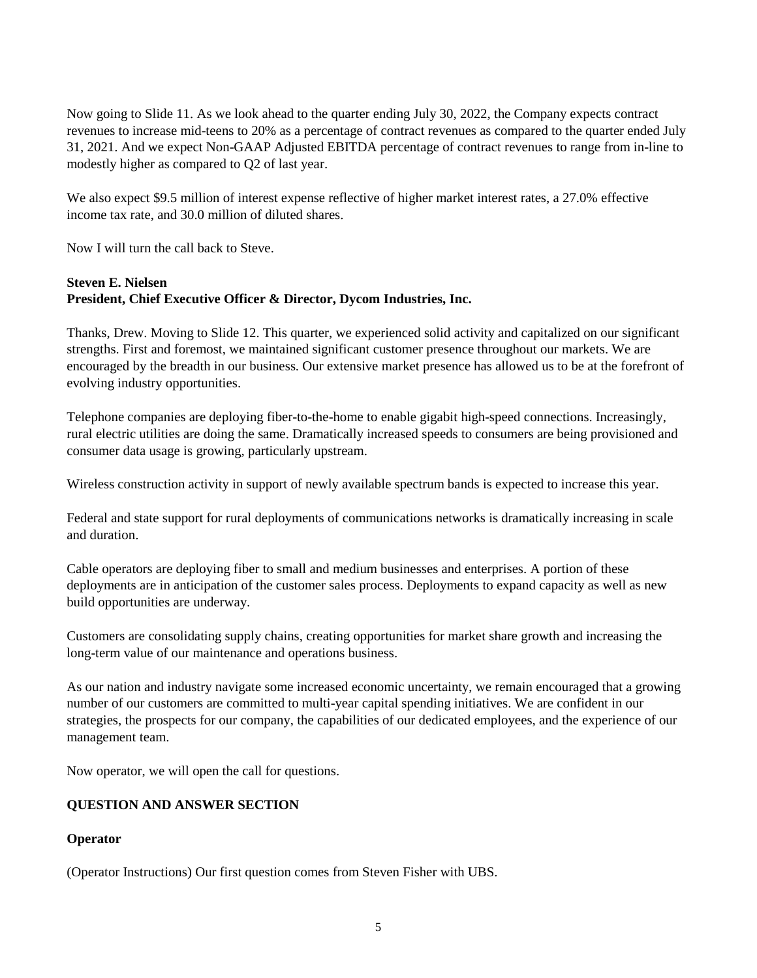Now going to Slide 11. As we look ahead to the quarter ending July 30, 2022, the Company expects contract revenues to increase mid-teens to 20% as a percentage of contract revenues as compared to the quarter ended July 31, 2021. And we expect Non-GAAP Adjusted EBITDA percentage of contract revenues to range from in-line to modestly higher as compared to Q2 of last year.

We also expect \$9.5 million of interest expense reflective of higher market interest rates, a 27.0% effective income tax rate, and 30.0 million of diluted shares.

Now I will turn the call back to Steve.

## **Steven E. Nielsen President, Chief Executive Officer & Director, Dycom Industries, Inc.**

Thanks, Drew. Moving to Slide 12. This quarter, we experienced solid activity and capitalized on our significant strengths. First and foremost, we maintained significant customer presence throughout our markets. We are encouraged by the breadth in our business. Our extensive market presence has allowed us to be at the forefront of evolving industry opportunities.

Telephone companies are deploying fiber-to-the-home to enable gigabit high-speed connections. Increasingly, rural electric utilities are doing the same. Dramatically increased speeds to consumers are being provisioned and consumer data usage is growing, particularly upstream.

Wireless construction activity in support of newly available spectrum bands is expected to increase this year.

Federal and state support for rural deployments of communications networks is dramatically increasing in scale and duration.

Cable operators are deploying fiber to small and medium businesses and enterprises. A portion of these deployments are in anticipation of the customer sales process. Deployments to expand capacity as well as new build opportunities are underway.

Customers are consolidating supply chains, creating opportunities for market share growth and increasing the long-term value of our maintenance and operations business.

As our nation and industry navigate some increased economic uncertainty, we remain encouraged that a growing number of our customers are committed to multi-year capital spending initiatives. We are confident in our strategies, the prospects for our company, the capabilities of our dedicated employees, and the experience of our management team.

Now operator, we will open the call for questions.

# **QUESTION AND ANSWER SECTION**

## **Operator**

(Operator Instructions) Our first question comes from Steven Fisher with UBS.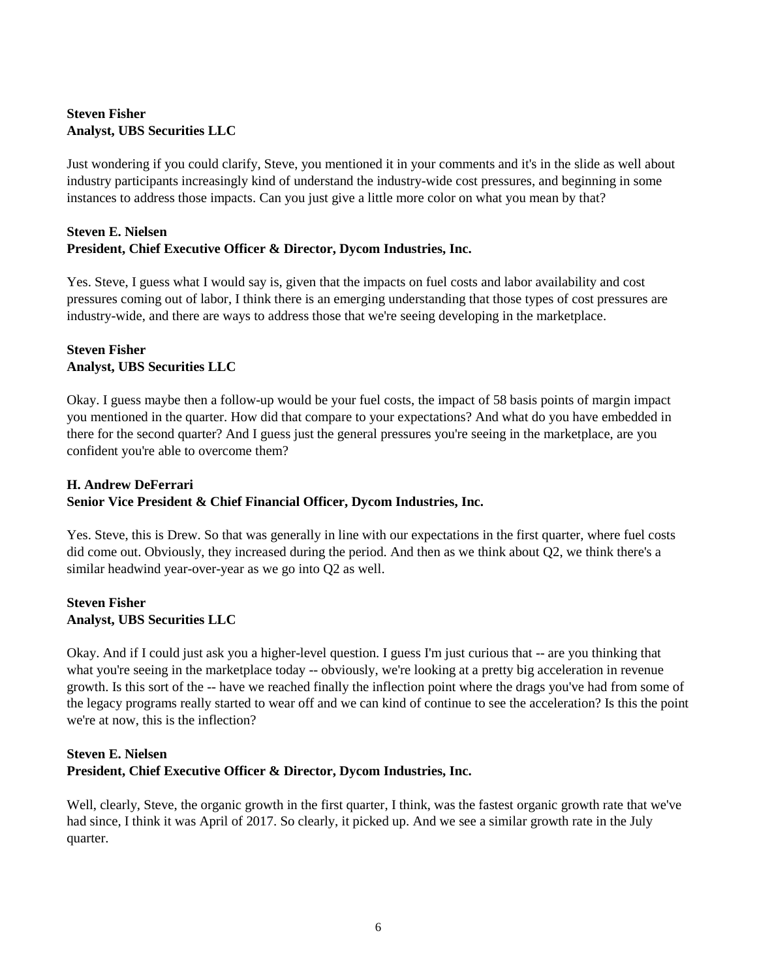## **Steven Fisher Analyst, UBS Securities LLC**

Just wondering if you could clarify, Steve, you mentioned it in your comments and it's in the slide as well about industry participants increasingly kind of understand the industry-wide cost pressures, and beginning in some instances to address those impacts. Can you just give a little more color on what you mean by that?

## **Steven E. Nielsen President, Chief Executive Officer & Director, Dycom Industries, Inc.**

Yes. Steve, I guess what I would say is, given that the impacts on fuel costs and labor availability and cost pressures coming out of labor, I think there is an emerging understanding that those types of cost pressures are industry-wide, and there are ways to address those that we're seeing developing in the marketplace.

## **Steven Fisher Analyst, UBS Securities LLC**

Okay. I guess maybe then a follow-up would be your fuel costs, the impact of 58 basis points of margin impact you mentioned in the quarter. How did that compare to your expectations? And what do you have embedded in there for the second quarter? And I guess just the general pressures you're seeing in the marketplace, are you confident you're able to overcome them?

# **H. Andrew DeFerrari Senior Vice President & Chief Financial Officer, Dycom Industries, Inc.**

Yes. Steve, this is Drew. So that was generally in line with our expectations in the first quarter, where fuel costs did come out. Obviously, they increased during the period. And then as we think about Q2, we think there's a similar headwind year-over-year as we go into Q2 as well.

#### **Steven Fisher Analyst, UBS Securities LLC**

Okay. And if I could just ask you a higher-level question. I guess I'm just curious that -- are you thinking that what you're seeing in the marketplace today -- obviously, we're looking at a pretty big acceleration in revenue growth. Is this sort of the -- have we reached finally the inflection point where the drags you've had from some of the legacy programs really started to wear off and we can kind of continue to see the acceleration? Is this the point we're at now, this is the inflection?

# **Steven E. Nielsen President, Chief Executive Officer & Director, Dycom Industries, Inc.**

Well, clearly, Steve, the organic growth in the first quarter, I think, was the fastest organic growth rate that we've had since, I think it was April of 2017. So clearly, it picked up. And we see a similar growth rate in the July quarter.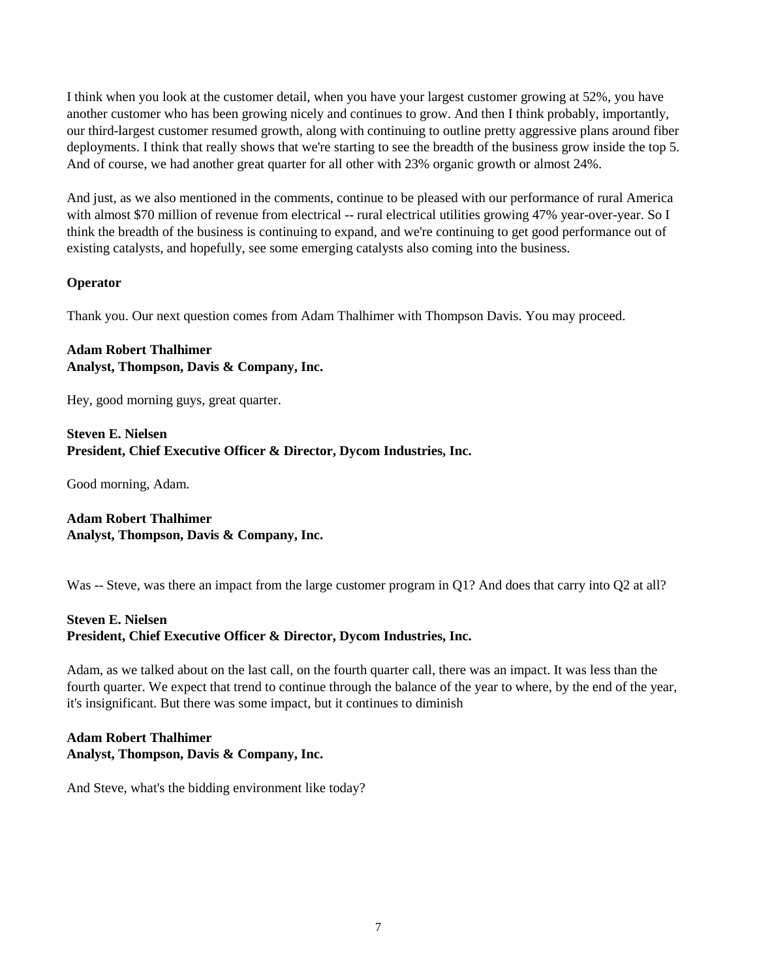I think when you look at the customer detail, when you have your largest customer growing at 52%, you have another customer who has been growing nicely and continues to grow. And then I think probably, importantly, our third-largest customer resumed growth, along with continuing to outline pretty aggressive plans around fiber deployments. I think that really shows that we're starting to see the breadth of the business grow inside the top 5. And of course, we had another great quarter for all other with 23% organic growth or almost 24%.

And just, as we also mentioned in the comments, continue to be pleased with our performance of rural America with almost \$70 million of revenue from electrical -- rural electrical utilities growing 47% year-over-year. So I think the breadth of the business is continuing to expand, and we're continuing to get good performance out of existing catalysts, and hopefully, see some emerging catalysts also coming into the business.

#### **Operator**

Thank you. Our next question comes from Adam Thalhimer with Thompson Davis. You may proceed.

## **Adam Robert Thalhimer Analyst, Thompson, Davis & Company, Inc.**

Hey, good morning guys, great quarter.

## **Steven E. Nielsen President, Chief Executive Officer & Director, Dycom Industries, Inc.**

Good morning, Adam.

**Adam Robert Thalhimer Analyst, Thompson, Davis & Company, Inc.** 

Was -- Steve, was there an impact from the large customer program in Q1? And does that carry into Q2 at all?

## **Steven E. Nielsen**

## **President, Chief Executive Officer & Director, Dycom Industries, Inc.**

Adam, as we talked about on the last call, on the fourth quarter call, there was an impact. It was less than the fourth quarter. We expect that trend to continue through the balance of the year to where, by the end of the year, it's insignificant. But there was some impact, but it continues to diminish

## **Adam Robert Thalhimer Analyst, Thompson, Davis & Company, Inc.**

And Steve, what's the bidding environment like today?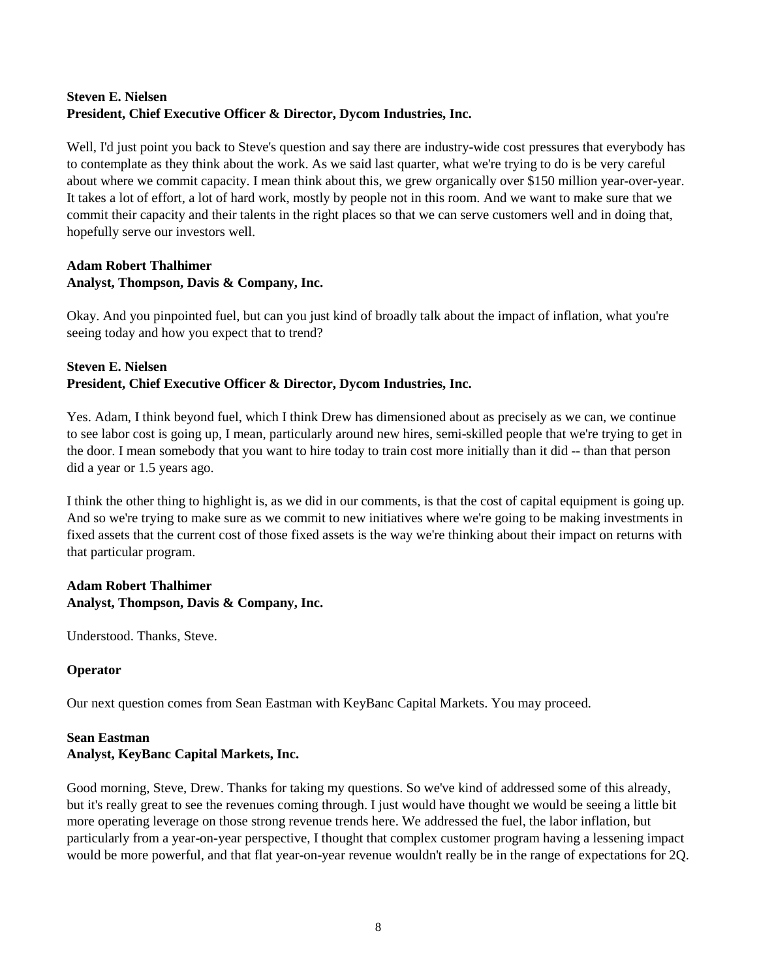## **Steven E. Nielsen President, Chief Executive Officer & Director, Dycom Industries, Inc.**

Well, I'd just point you back to Steve's question and say there are industry-wide cost pressures that everybody has to contemplate as they think about the work. As we said last quarter, what we're trying to do is be very careful about where we commit capacity. I mean think about this, we grew organically over \$150 million year-over-year. It takes a lot of effort, a lot of hard work, mostly by people not in this room. And we want to make sure that we commit their capacity and their talents in the right places so that we can serve customers well and in doing that, hopefully serve our investors well.

## **Adam Robert Thalhimer Analyst, Thompson, Davis & Company, Inc.**

Okay. And you pinpointed fuel, but can you just kind of broadly talk about the impact of inflation, what you're seeing today and how you expect that to trend?

## **Steven E. Nielsen President, Chief Executive Officer & Director, Dycom Industries, Inc.**

Yes. Adam, I think beyond fuel, which I think Drew has dimensioned about as precisely as we can, we continue to see labor cost is going up, I mean, particularly around new hires, semi-skilled people that we're trying to get in the door. I mean somebody that you want to hire today to train cost more initially than it did -- than that person did a year or 1.5 years ago.

I think the other thing to highlight is, as we did in our comments, is that the cost of capital equipment is going up. And so we're trying to make sure as we commit to new initiatives where we're going to be making investments in fixed assets that the current cost of those fixed assets is the way we're thinking about their impact on returns with that particular program.

# **Adam Robert Thalhimer Analyst, Thompson, Davis & Company, Inc.**

Understood. Thanks, Steve.

## **Operator**

Our next question comes from Sean Eastman with KeyBanc Capital Markets. You may proceed.

# **Sean Eastman Analyst, KeyBanc Capital Markets, Inc.**

Good morning, Steve, Drew. Thanks for taking my questions. So we've kind of addressed some of this already, but it's really great to see the revenues coming through. I just would have thought we would be seeing a little bit more operating leverage on those strong revenue trends here. We addressed the fuel, the labor inflation, but particularly from a year-on-year perspective, I thought that complex customer program having a lessening impact would be more powerful, and that flat year-on-year revenue wouldn't really be in the range of expectations for 2Q.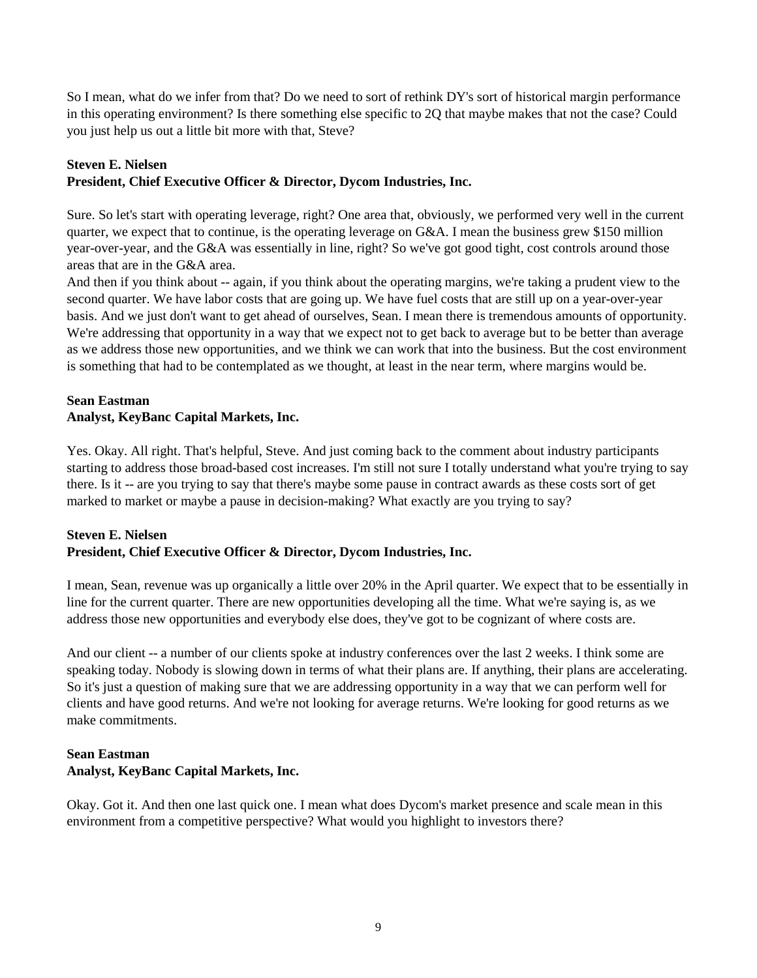So I mean, what do we infer from that? Do we need to sort of rethink DY's sort of historical margin performance in this operating environment? Is there something else specific to 2Q that maybe makes that not the case? Could you just help us out a little bit more with that, Steve?

## **Steven E. Nielsen President, Chief Executive Officer & Director, Dycom Industries, Inc.**

Sure. So let's start with operating leverage, right? One area that, obviously, we performed very well in the current quarter, we expect that to continue, is the operating leverage on G&A. I mean the business grew \$150 million year-over-year, and the G&A was essentially in line, right? So we've got good tight, cost controls around those areas that are in the G&A area.

And then if you think about -- again, if you think about the operating margins, we're taking a prudent view to the second quarter. We have labor costs that are going up. We have fuel costs that are still up on a year-over-year basis. And we just don't want to get ahead of ourselves, Sean. I mean there is tremendous amounts of opportunity. We're addressing that opportunity in a way that we expect not to get back to average but to be better than average as we address those new opportunities, and we think we can work that into the business. But the cost environment is something that had to be contemplated as we thought, at least in the near term, where margins would be.

## **Sean Eastman Analyst, KeyBanc Capital Markets, Inc.**

Yes. Okay. All right. That's helpful, Steve. And just coming back to the comment about industry participants starting to address those broad-based cost increases. I'm still not sure I totally understand what you're trying to say there. Is it -- are you trying to say that there's maybe some pause in contract awards as these costs sort of get marked to market or maybe a pause in decision-making? What exactly are you trying to say?

## **Steven E. Nielsen President, Chief Executive Officer & Director, Dycom Industries, Inc.**

I mean, Sean, revenue was up organically a little over 20% in the April quarter. We expect that to be essentially in line for the current quarter. There are new opportunities developing all the time. What we're saying is, as we address those new opportunities and everybody else does, they've got to be cognizant of where costs are.

And our client -- a number of our clients spoke at industry conferences over the last 2 weeks. I think some are speaking today. Nobody is slowing down in terms of what their plans are. If anything, their plans are accelerating. So it's just a question of making sure that we are addressing opportunity in a way that we can perform well for clients and have good returns. And we're not looking for average returns. We're looking for good returns as we make commitments.

# **Sean Eastman Analyst, KeyBanc Capital Markets, Inc.**

Okay. Got it. And then one last quick one. I mean what does Dycom's market presence and scale mean in this environment from a competitive perspective? What would you highlight to investors there?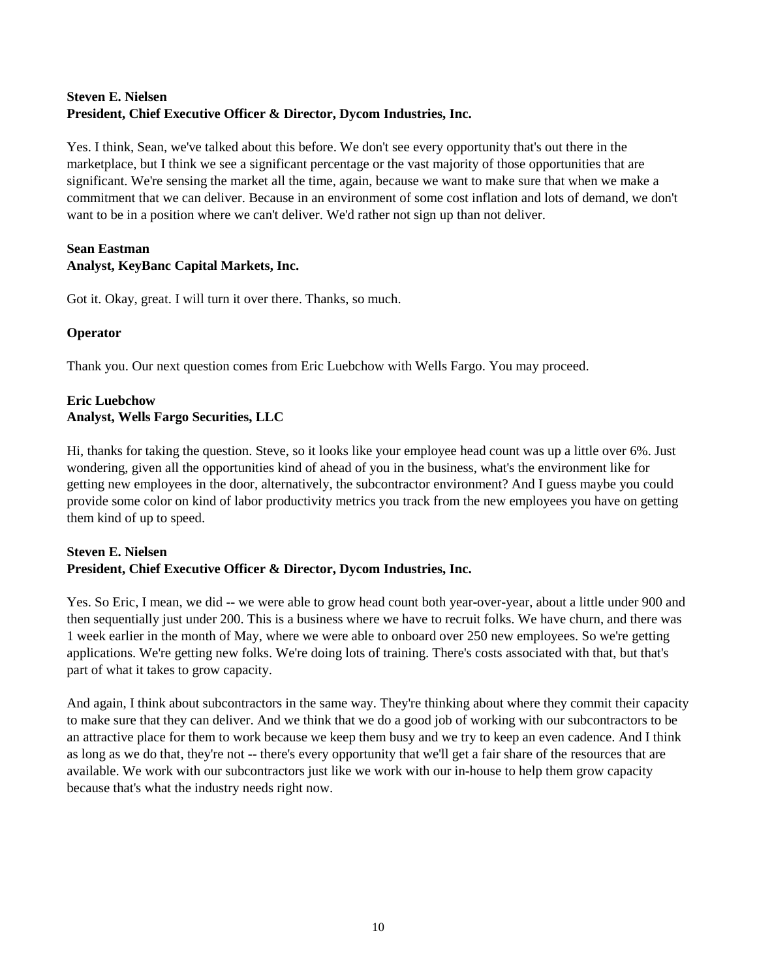## **Steven E. Nielsen President, Chief Executive Officer & Director, Dycom Industries, Inc.**

Yes. I think, Sean, we've talked about this before. We don't see every opportunity that's out there in the marketplace, but I think we see a significant percentage or the vast majority of those opportunities that are significant. We're sensing the market all the time, again, because we want to make sure that when we make a commitment that we can deliver. Because in an environment of some cost inflation and lots of demand, we don't want to be in a position where we can't deliver. We'd rather not sign up than not deliver.

# **Sean Eastman Analyst, KeyBanc Capital Markets, Inc.**

Got it. Okay, great. I will turn it over there. Thanks, so much.

## **Operator**

Thank you. Our next question comes from Eric Luebchow with Wells Fargo. You may proceed.

## **Eric Luebchow Analyst, Wells Fargo Securities, LLC**

Hi, thanks for taking the question. Steve, so it looks like your employee head count was up a little over 6%. Just wondering, given all the opportunities kind of ahead of you in the business, what's the environment like for getting new employees in the door, alternatively, the subcontractor environment? And I guess maybe you could provide some color on kind of labor productivity metrics you track from the new employees you have on getting them kind of up to speed.

#### **Steven E. Nielsen President, Chief Executive Officer & Director, Dycom Industries, Inc.**

Yes. So Eric, I mean, we did -- we were able to grow head count both year-over-year, about a little under 900 and then sequentially just under 200. This is a business where we have to recruit folks. We have churn, and there was 1 week earlier in the month of May, where we were able to onboard over 250 new employees. So we're getting applications. We're getting new folks. We're doing lots of training. There's costs associated with that, but that's part of what it takes to grow capacity.

And again, I think about subcontractors in the same way. They're thinking about where they commit their capacity to make sure that they can deliver. And we think that we do a good job of working with our subcontractors to be an attractive place for them to work because we keep them busy and we try to keep an even cadence. And I think as long as we do that, they're not -- there's every opportunity that we'll get a fair share of the resources that are available. We work with our subcontractors just like we work with our in-house to help them grow capacity because that's what the industry needs right now.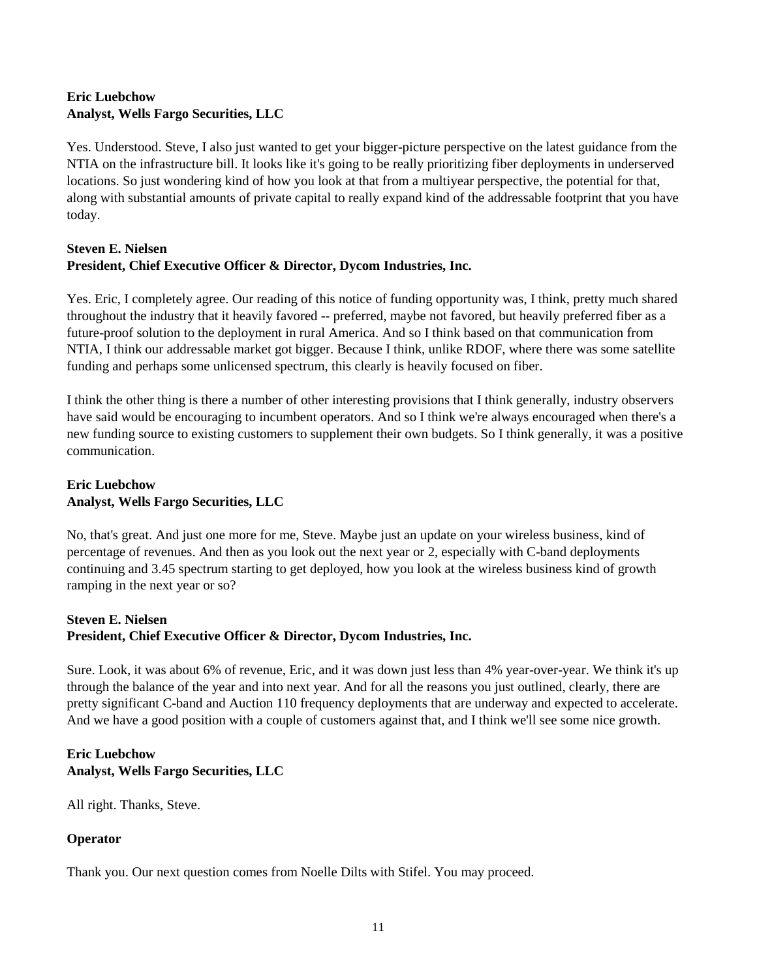## **Eric Luebchow Analyst, Wells Fargo Securities, LLC**

Yes. Understood. Steve, I also just wanted to get your bigger-picture perspective on the latest guidance from the NTIA on the infrastructure bill. It looks like it's going to be really prioritizing fiber deployments in underserved locations. So just wondering kind of how you look at that from a multiyear perspective, the potential for that, along with substantial amounts of private capital to really expand kind of the addressable footprint that you have today.

## **Steven E. Nielsen President, Chief Executive Officer & Director, Dycom Industries, Inc.**

Yes. Eric, I completely agree. Our reading of this notice of funding opportunity was, I think, pretty much shared throughout the industry that it heavily favored -- preferred, maybe not favored, but heavily preferred fiber as a future-proof solution to the deployment in rural America. And so I think based on that communication from NTIA, I think our addressable market got bigger. Because I think, unlike RDOF, where there was some satellite funding and perhaps some unlicensed spectrum, this clearly is heavily focused on fiber.

I think the other thing is there a number of other interesting provisions that I think generally, industry observers have said would be encouraging to incumbent operators. And so I think we're always encouraged when there's a new funding source to existing customers to supplement their own budgets. So I think generally, it was a positive communication.

## **Eric Luebchow Analyst, Wells Fargo Securities, LLC**

No, that's great. And just one more for me, Steve. Maybe just an update on your wireless business, kind of percentage of revenues. And then as you look out the next year or 2, especially with C-band deployments continuing and 3.45 spectrum starting to get deployed, how you look at the wireless business kind of growth ramping in the next year or so?

## **Steven E. Nielsen**

## **President, Chief Executive Officer & Director, Dycom Industries, Inc.**

Sure. Look, it was about 6% of revenue, Eric, and it was down just less than 4% year-over-year. We think it's up through the balance of the year and into next year. And for all the reasons you just outlined, clearly, there are pretty significant C-band and Auction 110 frequency deployments that are underway and expected to accelerate. And we have a good position with a couple of customers against that, and I think we'll see some nice growth.

#### **Eric Luebchow Analyst, Wells Fargo Securities, LLC**

All right. Thanks, Steve.

# **Operator**

Thank you. Our next question comes from Noelle Dilts with Stifel. You may proceed.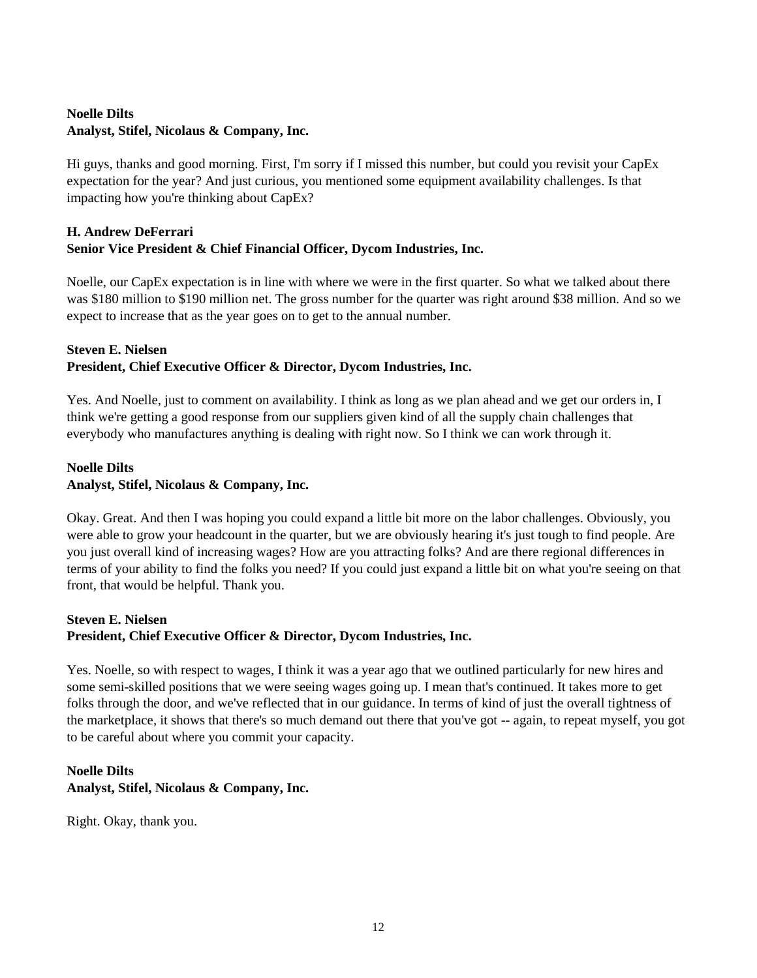## **Noelle Dilts Analyst, Stifel, Nicolaus & Company, Inc.**

Hi guys, thanks and good morning. First, I'm sorry if I missed this number, but could you revisit your CapEx expectation for the year? And just curious, you mentioned some equipment availability challenges. Is that impacting how you're thinking about CapEx?

## **H. Andrew DeFerrari Senior Vice President & Chief Financial Officer, Dycom Industries, Inc.**

Noelle, our CapEx expectation is in line with where we were in the first quarter. So what we talked about there was \$180 million to \$190 million net. The gross number for the quarter was right around \$38 million. And so we expect to increase that as the year goes on to get to the annual number.

## **Steven E. Nielsen President, Chief Executive Officer & Director, Dycom Industries, Inc.**

Yes. And Noelle, just to comment on availability. I think as long as we plan ahead and we get our orders in, I think we're getting a good response from our suppliers given kind of all the supply chain challenges that everybody who manufactures anything is dealing with right now. So I think we can work through it.

## **Noelle Dilts Analyst, Stifel, Nicolaus & Company, Inc.**

Okay. Great. And then I was hoping you could expand a little bit more on the labor challenges. Obviously, you were able to grow your headcount in the quarter, but we are obviously hearing it's just tough to find people. Are you just overall kind of increasing wages? How are you attracting folks? And are there regional differences in terms of your ability to find the folks you need? If you could just expand a little bit on what you're seeing on that front, that would be helpful. Thank you.

## **Steven E. Nielsen**

## **President, Chief Executive Officer & Director, Dycom Industries, Inc.**

Yes. Noelle, so with respect to wages, I think it was a year ago that we outlined particularly for new hires and some semi-skilled positions that we were seeing wages going up. I mean that's continued. It takes more to get folks through the door, and we've reflected that in our guidance. In terms of kind of just the overall tightness of the marketplace, it shows that there's so much demand out there that you've got -- again, to repeat myself, you got to be careful about where you commit your capacity.

## **Noelle Dilts Analyst, Stifel, Nicolaus & Company, Inc.**

Right. Okay, thank you.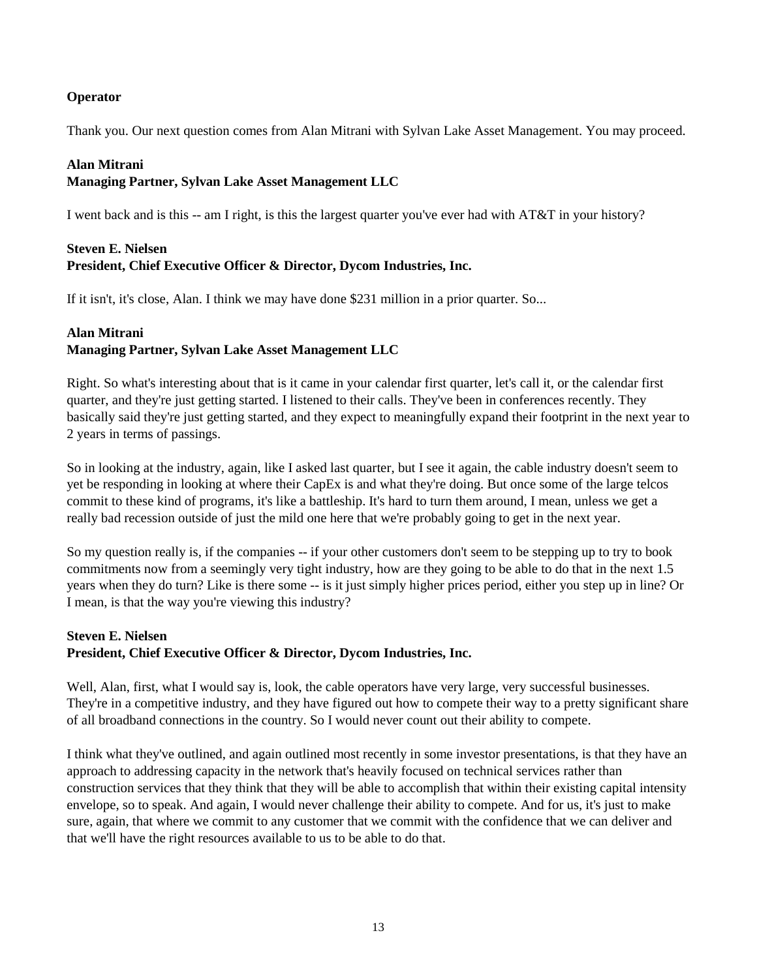### **Operator**

Thank you. Our next question comes from Alan Mitrani with Sylvan Lake Asset Management. You may proceed.

#### **Alan Mitrani**

## **Managing Partner, Sylvan Lake Asset Management LLC**

I went back and is this -- am I right, is this the largest quarter you've ever had with AT&T in your history?

## **Steven E. Nielsen President, Chief Executive Officer & Director, Dycom Industries, Inc.**

If it isn't, it's close, Alan. I think we may have done \$231 million in a prior quarter. So...

#### **Alan Mitrani**

# **Managing Partner, Sylvan Lake Asset Management LLC**

Right. So what's interesting about that is it came in your calendar first quarter, let's call it, or the calendar first quarter, and they're just getting started. I listened to their calls. They've been in conferences recently. They basically said they're just getting started, and they expect to meaningfully expand their footprint in the next year to 2 years in terms of passings.

So in looking at the industry, again, like I asked last quarter, but I see it again, the cable industry doesn't seem to yet be responding in looking at where their CapEx is and what they're doing. But once some of the large telcos commit to these kind of programs, it's like a battleship. It's hard to turn them around, I mean, unless we get a really bad recession outside of just the mild one here that we're probably going to get in the next year.

So my question really is, if the companies -- if your other customers don't seem to be stepping up to try to book commitments now from a seemingly very tight industry, how are they going to be able to do that in the next 1.5 years when they do turn? Like is there some -- is it just simply higher prices period, either you step up in line? Or I mean, is that the way you're viewing this industry?

#### **Steven E. Nielsen President, Chief Executive Officer & Director, Dycom Industries, Inc.**

Well, Alan, first, what I would say is, look, the cable operators have very large, very successful businesses. They're in a competitive industry, and they have figured out how to compete their way to a pretty significant share of all broadband connections in the country. So I would never count out their ability to compete.

I think what they've outlined, and again outlined most recently in some investor presentations, is that they have an approach to addressing capacity in the network that's heavily focused on technical services rather than construction services that they think that they will be able to accomplish that within their existing capital intensity envelope, so to speak. And again, I would never challenge their ability to compete. And for us, it's just to make sure, again, that where we commit to any customer that we commit with the confidence that we can deliver and that we'll have the right resources available to us to be able to do that.